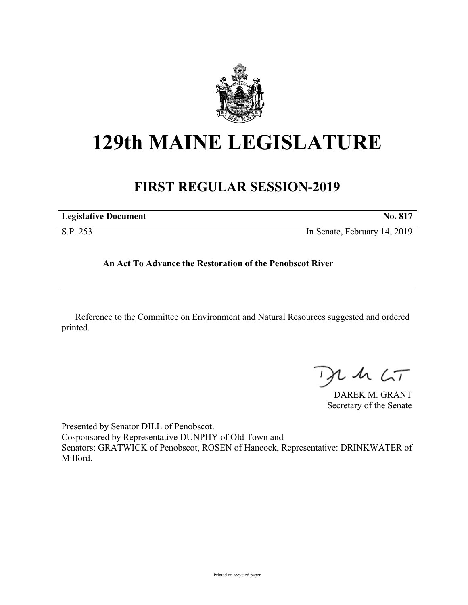

# **129th MAINE LEGISLATURE**

# **FIRST REGULAR SESSION-2019**

| <b>Legislative Document</b> | No. 81 <sup>7</sup>          |
|-----------------------------|------------------------------|
| S.P. 253                    | In Senate, February 14, 2019 |

# **An Act To Advance the Restoration of the Penobscot River**

Reference to the Committee on Environment and Natural Resources suggested and ordered printed.

 $125$ 

DAREK M. GRANT Secretary of the Senate

Presented by Senator DILL of Penobscot. Cosponsored by Representative DUNPHY of Old Town and Senators: GRATWICK of Penobscot, ROSEN of Hancock, Representative: DRINKWATER of Milford.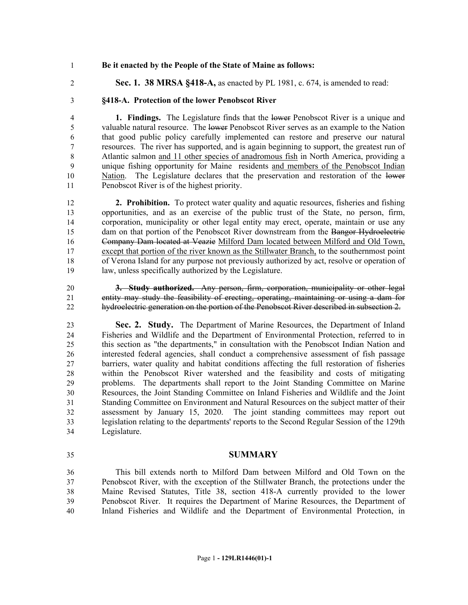#### **Be it enacted by the People of the State of Maine as follows:**

**Sec. 1. 38 MRSA §418-A,** as enacted by PL 1981, c. 674, is amended to read:

## **§418-A. Protection of the lower Penobscot River**

 **1. Findings.** The Legislature finds that the lower Penobscot River is a unique and valuable natural resource. The lower Penobscot River serves as an example to the Nation that good public policy carefully implemented can restore and preserve our natural resources. The river has supported, and is again beginning to support, the greatest run of Atlantic salmon and 11 other species of anadromous fish in North America, providing a unique fishing opportunity for Maine residents and members of the Penobscot Indian 10 Nation. The Legislature declares that the preservation and restoration of the lower Penobscot River is of the highest priority.

 **2. Prohibition.** To protect water quality and aquatic resources, fisheries and fishing opportunities, and as an exercise of the public trust of the State, no person, firm, corporation, municipality or other legal entity may erect, operate, maintain or use any 15 dam on that portion of the Penobscot River downstream from the Bangor Hydroelectric Company Dam located at Veazie Milford Dam located between Milford and Old Town, except that portion of the river known as the Stillwater Branch, to the southernmost point of Verona Island for any purpose not previously authorized by act, resolve or operation of law, unless specifically authorized by the Legislature.

 **3. Study authorized.** Any person, firm, corporation, municipality or other legal entity may study the feasibility of erecting, operating, maintaining or using a dam for hydroelectric generation on the portion of the Penobscot River described in subsection 2.

 **Sec. 2. Study.** The Department of Marine Resources, the Department of Inland Fisheries and Wildlife and the Department of Environmental Protection, referred to in this section as "the departments," in consultation with the Penobscot Indian Nation and interested federal agencies, shall conduct a comprehensive assessment of fish passage barriers, water quality and habitat conditions affecting the full restoration of fisheries within the Penobscot River watershed and the feasibility and costs of mitigating problems. The departments shall report to the Joint Standing Committee on Marine Resources, the Joint Standing Committee on Inland Fisheries and Wildlife and the Joint Standing Committee on Environment and Natural Resources on the subject matter of their assessment by January 15, 2020. The joint standing committees may report out legislation relating to the departments' reports to the Second Regular Session of the 129th Legislature.

### **SUMMARY**

 This bill extends north to Milford Dam between Milford and Old Town on the Penobscot River, with the exception of the Stillwater Branch, the protections under the Maine Revised Statutes, Title 38, section 418-A currently provided to the lower Penobscot River. It requires the Department of Marine Resources, the Department of Inland Fisheries and Wildlife and the Department of Environmental Protection, in